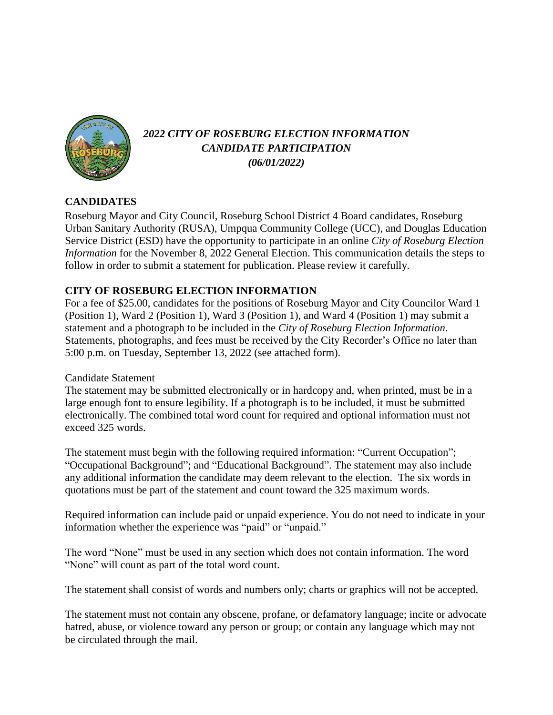

# *2022 CITY OF ROSEBURG ELECTION INFORMATION CANDIDATE PARTICIPATION (06/01/2022)*

## **CANDIDATES**

Roseburg Mayor and City Council, Roseburg School District 4 Board candidates, Roseburg Urban Sanitary Authority (RUSA), Umpqua Community College (UCC), and Douglas Education Service District (ESD) have the opportunity to participate in an online *City of Roseburg Election Information* for the November 8, 2022 General Election. This communication details the steps to follow in order to submit a statement for publication. Please review it carefully.

## **CITY OF ROSEBURG ELECTION INFORMATION**

For a fee of \$25.00, candidates for the positions of Roseburg Mayor and City Councilor Ward 1 (Position 1), Ward 2 (Position 1), Ward 3 (Position 1), and Ward 4 (Position 1) may submit a statement and a photograph to be included in the *City of Roseburg Election Information*. Statements, photographs, and fees must be received by the City Recorder's Office no later than 5:00 p.m. on Tuesday, September 13, 2022 (see attached form).

### Candidate Statement

The statement may be submitted electronically or in hardcopy and, when printed, must be in a large enough font to ensure legibility. If a photograph is to be included, it must be submitted electronically. The combined total word count for required and optional information must not exceed 325 words.

The statement must begin with the following required information: "Current Occupation"; "Occupational Background"; and "Educational Background". The statement may also include any additional information the candidate may deem relevant to the election. The six words in quotations must be part of the statement and count toward the 325 maximum words.

Required information can include paid or unpaid experience. You do not need to indicate in your information whether the experience was "paid" or "unpaid."

The word "None" must be used in any section which does not contain information. The word "None" will count as part of the total word count.

The statement shall consist of words and numbers only; charts or graphics will not be accepted.

The statement must not contain any obscene, profane, or defamatory language; incite or advocate hatred, abuse, or violence toward any person or group; or contain any language which may not be circulated through the mail.